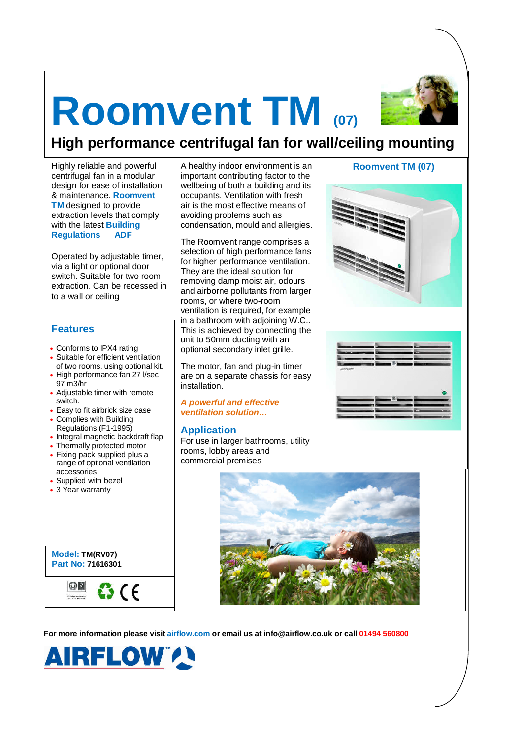# **Roomvent TM (07)**



# **High performance centrifugal fan for wall/ceiling mounting**

centrifugal fan in a modular design for ease of installation & maintenance. **Roomvent TM** designed to provide extraction levels that comply with the latest **Building Regulations ADF**

Operated by adjustable timer, via a light or optional door switch. Suitable for two room extraction. Can be recessed in to a wall or ceiling

# **Features**

- Conforms to IPX4 rating
- Suitable for efficient ventilation of two rooms, using optional kit.
- High performance fan 27 l/sec 97 m3/hr
- Adjustable timer with remote switch.
- Easy to fit airbrick size case
- Complies with Building Regulations (F1-1995)
- Integral magnetic backdraft flap
- Thermally protected motor
- Fixing pack supplied plus a range of optional ventilation accessories
- Supplied with bezel
- 3 Year warranty

**Model: TM(RV07) Part No: 71616301**



Highly reliable and powerful | A healthy indoor environment is an | **Roomvent TM (07)** important contributing factor to the wellbeing of both a building and its occupants. Ventilation with fresh air is the most effective means of avoiding problems such as condensation, mould and allergies.

> The Roomvent range comprises a selection of high performance fans for higher performance ventilation. They are the ideal solution for removing damp moist air, odours and airborne pollutants from larger rooms, or where two-room ventilation is required, for example in a bathroom with adjoining W.C.. This is achieved by connecting the unit to 50mm ducting with an optional secondary inlet grille.

> The motor, fan and plug-in timer are on a separate chassis for easy installation.

**A powerful and effective ventilation solution…**

## **Application**

For use in larger bathrooms, utility rooms, lobby areas and commercial premises









**For more information please visit airflow.com or email us at info@airflow.co.uk or call 01494 560800**

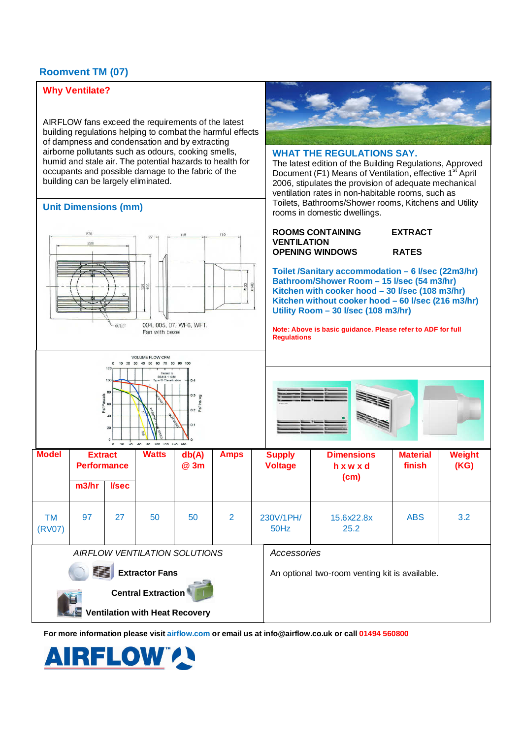# **Roomvent TM (07)**

# **Why Ventilate?**

AIRFLOW fans exceed the requirements of the latest building regulations helping to combat the harmful effects of dampness and condensation and by extracting airborne pollutants such as odours, cooking smells, humid and stale air. The potential hazards to health for occupants and possible damage to the fabric of the building can be largely eliminated.

# **Unit Dimensions (mm)**







## **WHAT THE REGULATIONS SAY.**

The latest edition of the Building Regulations, Approved Document (F1) Means of Ventilation, effective 1<sup>st</sup> April 2006, stipulates the provision of adequate mechanical ventilation rates in non-habitable rooms, such as Toilets, Bathrooms/Shower rooms, Kitchens and Utility rooms in domestic dwellings.

#### **ROOMS CONTAINING EXTRACT VENTILATION OPENING WINDOWS RATES**

**Toilet /Sanitary accommodation – 6 l/sec (22m3/hr) Bathroom/Shower Room – 15 l/sec (54 m3/hr) Kitchen with cooker hood – 30 l/sec (108 m3/hr) Kitchen without cooker hood – 60 l/sec (216 m3/hr) Utility Room – 30 l/sec (108 m3/hr)** 

**Note: Above is basic guidance. Please refer to ADF for full Regulations**



| 0 20 40 60 80 100 120 140 160                                      |                                      |             |              |               |             |                                 |                                                |                           |                |  |
|--------------------------------------------------------------------|--------------------------------------|-------------|--------------|---------------|-------------|---------------------------------|------------------------------------------------|---------------------------|----------------|--|
| <b>Model</b>                                                       | <b>Extract</b><br><b>Performance</b> |             | <b>Watts</b> | db(A)<br>@ 3m | <b>Amps</b> | <b>Supply</b><br><b>Voltage</b> | <b>Dimensions</b><br>hxwxd<br>(cm)             | <b>Material</b><br>finish | Weight<br>(KG) |  |
|                                                                    | m3/hr                                | <b>Vsec</b> |              |               |             |                                 |                                                |                           |                |  |
| ТM<br>(RV07)                                                       | 97                                   | 27          | 50           | 50            | 2           | 230V/1PH/<br>50Hz               | 15.6x22.8x<br>25.2                             | <b>ABS</b>                | 3.2            |  |
| AIRFLOW VENTILATION SOLUTIONS                                      |                                      |             |              |               |             |                                 | Accessories                                    |                           |                |  |
| iii<br><b>Extractor Fans</b>                                       |                                      |             |              |               |             |                                 | An optional two-room venting kit is available. |                           |                |  |
| <b>Central Extraction</b><br><b>Ventilation with Heat Recovery</b> |                                      |             |              |               |             |                                 |                                                |                           |                |  |

**For more information please visit airflow.com or email us at info@airflow.co.uk or call 01494 560800**